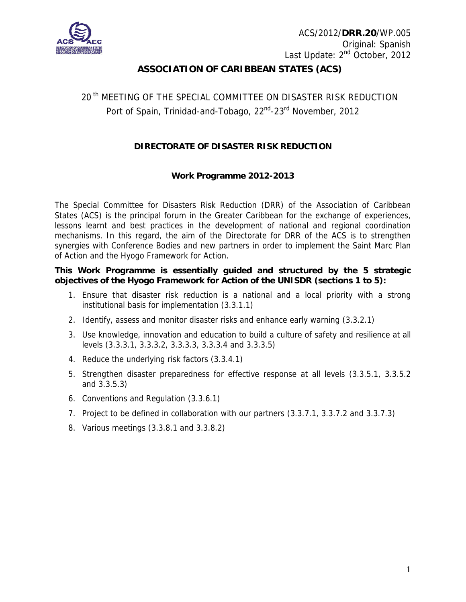

## **ASSOCIATION OF CARIBBEAN STATES (ACS)**

# 20<sup>th</sup> MEETING OF THE SPECIAL COMMITTEE ON DISASTER RISK REDUCTION Port of Spain, Trinidad-and-Tobago, 22<sup>nd</sup>-23<sup>rd</sup> November, 2012

### **DIRECTORATE OF DISASTER RISK REDUCTION**

#### **Work Programme 2012-2013**

The Special Committee for Disasters Risk Reduction (DRR) of the Association of Caribbean States (ACS) is the principal forum in the Greater Caribbean for the exchange of experiences, lessons learnt and best practices in the development of national and regional coordination mechanisms. In this regard, the aim of the Directorate for DRR of the ACS is to strengthen synergies with Conference Bodies and new partners in order to implement the Saint Marc Plan of Action and the Hyogo Framework for Action.

#### **This Work Programme is essentially guided and structured by the 5 strategic objectives of the Hyogo Framework for Action of the UNISDR (sections 1 to 5):**

- 1. Ensure that disaster risk reduction is a national and a local priority with a strong institutional basis for implementation (3.3.1.1)
- 2. Identify, assess and monitor disaster risks and enhance early warning (3.3.2.1)
- 3. Use knowledge, innovation and education to build a culture of safety and resilience at all levels (3.3.3.1, 3.3.3.2, 3.3.3.3, 3.3.3.4 and 3.3.3.5)
- 4. Reduce the underlying risk factors (3.3.4.1)
- 5. Strengthen disaster preparedness for effective response at all levels (3.3.5.1, 3.3.5.2 and 3.3.5.3)
- 6. Conventions and Regulation (3.3.6.1)
- 7. Project to be defined in collaboration with our partners (3.3.7.1, 3.3.7.2 and 3.3.7.3)
- 8. Various meetings (3.3.8.1 and 3.3.8.2)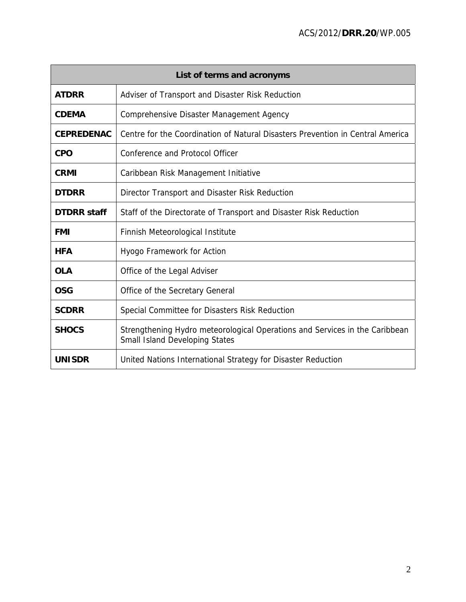| List of terms and acronyms                                                                          |                                                                                                                      |  |  |  |  |  |  |
|-----------------------------------------------------------------------------------------------------|----------------------------------------------------------------------------------------------------------------------|--|--|--|--|--|--|
| <b>ATDRR</b>                                                                                        | Adviser of Transport and Disaster Risk Reduction                                                                     |  |  |  |  |  |  |
| <b>CDEMA</b>                                                                                        | Comprehensive Disaster Management Agency                                                                             |  |  |  |  |  |  |
| Centre for the Coordination of Natural Disasters Prevention in Central America<br><b>CEPREDENAC</b> |                                                                                                                      |  |  |  |  |  |  |
| <b>CPO</b><br><b>Conference and Protocol Officer</b>                                                |                                                                                                                      |  |  |  |  |  |  |
| <b>CRMI</b>                                                                                         | Caribbean Risk Management Initiative                                                                                 |  |  |  |  |  |  |
| <b>DTDRR</b>                                                                                        | Director Transport and Disaster Risk Reduction                                                                       |  |  |  |  |  |  |
| <b>DTDRR</b> staff<br>Staff of the Directorate of Transport and Disaster Risk Reduction             |                                                                                                                      |  |  |  |  |  |  |
| <b>FMI</b>                                                                                          | Finnish Meteorological Institute                                                                                     |  |  |  |  |  |  |
| <b>HFA</b>                                                                                          | Hyogo Framework for Action                                                                                           |  |  |  |  |  |  |
| <b>OLA</b>                                                                                          | Office of the Legal Adviser                                                                                          |  |  |  |  |  |  |
| <b>OSG</b>                                                                                          | Office of the Secretary General                                                                                      |  |  |  |  |  |  |
| <b>SCDRR</b>                                                                                        | Special Committee for Disasters Risk Reduction                                                                       |  |  |  |  |  |  |
| <b>SHOCS</b>                                                                                        | Strengthening Hydro meteorological Operations and Services in the Caribbean<br><b>Small Island Developing States</b> |  |  |  |  |  |  |
| <b>UNISDR</b>                                                                                       | United Nations International Strategy for Disaster Reduction                                                         |  |  |  |  |  |  |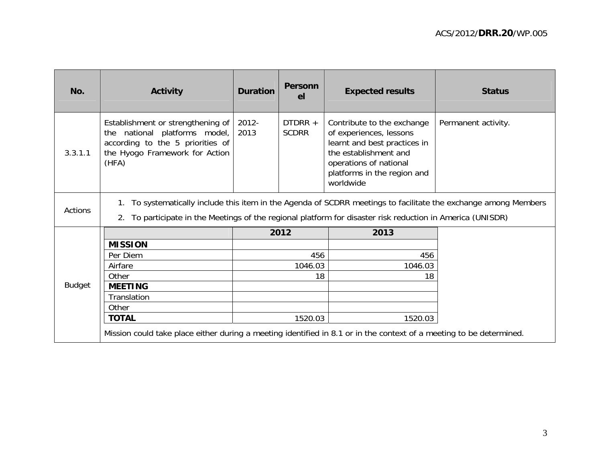| No.            | <b>Activity</b>                                                                                                                                                                                                                     | <b>Duration</b> | <b>Personn</b><br>el    | <b>Expected results</b>                                                                                                                                                              | <b>Status</b>       |  |  |  |
|----------------|-------------------------------------------------------------------------------------------------------------------------------------------------------------------------------------------------------------------------------------|-----------------|-------------------------|--------------------------------------------------------------------------------------------------------------------------------------------------------------------------------------|---------------------|--|--|--|
| 3.3.1.1        | Establishment or strengthening of<br>the national platforms model,<br>according to the 5 priorities of<br>the Hyogo Framework for Action<br>(HFA)                                                                                   | 2012-<br>2013   | DTDRR +<br><b>SCDRR</b> | Contribute to the exchange<br>of experiences, lessons<br>learnt and best practices in<br>the establishment and<br>operations of national<br>platforms in the region and<br>worldwide | Permanent activity. |  |  |  |
| <b>Actions</b> | To systematically include this item in the Agenda of SCDRR meetings to facilitate the exchange among Members<br>1.<br>To participate in the Meetings of the regional platform for disaster risk reduction in America (UNISDR)<br>2. |                 |                         |                                                                                                                                                                                      |                     |  |  |  |
|                |                                                                                                                                                                                                                                     |                 | 2012                    | 2013                                                                                                                                                                                 |                     |  |  |  |
|                | <b>MISSION</b>                                                                                                                                                                                                                      |                 |                         |                                                                                                                                                                                      |                     |  |  |  |
|                | Per Diem                                                                                                                                                                                                                            |                 | 456                     | 456                                                                                                                                                                                  |                     |  |  |  |
|                | Airfare                                                                                                                                                                                                                             |                 | 1046.03                 | 1046.03                                                                                                                                                                              |                     |  |  |  |
|                | Other                                                                                                                                                                                                                               |                 | 18                      | 18                                                                                                                                                                                   |                     |  |  |  |
| <b>Budget</b>  | <b>MEETING</b>                                                                                                                                                                                                                      |                 |                         |                                                                                                                                                                                      |                     |  |  |  |
|                | Translation                                                                                                                                                                                                                         |                 |                         |                                                                                                                                                                                      |                     |  |  |  |
|                | Other                                                                                                                                                                                                                               |                 |                         |                                                                                                                                                                                      |                     |  |  |  |
|                | <b>TOTAL</b>                                                                                                                                                                                                                        |                 | 1520.03                 | 1520.03                                                                                                                                                                              |                     |  |  |  |
|                | Mission could take place either during a meeting identified in 8.1 or in the context of a meeting to be determined.                                                                                                                 |                 |                         |                                                                                                                                                                                      |                     |  |  |  |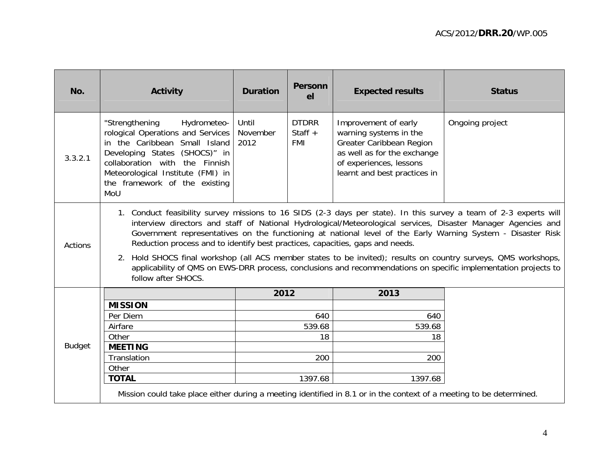| No.           | Activity                                                                                                                                                                                                                                            | <b>Duration</b>           | <b>Personn</b><br>el                    | <b>Expected results</b>                                                                                                                                              | <b>Status</b>                                                                                                                                                                                                                                                                                                                                                                                                                                                                                                                                                                          |
|---------------|-----------------------------------------------------------------------------------------------------------------------------------------------------------------------------------------------------------------------------------------------------|---------------------------|-----------------------------------------|----------------------------------------------------------------------------------------------------------------------------------------------------------------------|----------------------------------------------------------------------------------------------------------------------------------------------------------------------------------------------------------------------------------------------------------------------------------------------------------------------------------------------------------------------------------------------------------------------------------------------------------------------------------------------------------------------------------------------------------------------------------------|
| 3.3.2.1       | "Strengthening<br>Hydrometeo-<br>rological Operations and Services<br>in the Caribbean Small Island<br>Developing States (SHOCS)" in<br>collaboration with the Finnish<br>Meteorological Institute (FMI) in<br>the framework of the existing<br>MoU | Until<br>November<br>2012 | <b>DTDRR</b><br>Staff $+$<br><b>FMI</b> | Improvement of early<br>warning systems in the<br>Greater Caribbean Region<br>as well as for the exchange<br>of experiences, lessons<br>learnt and best practices in | Ongoing project                                                                                                                                                                                                                                                                                                                                                                                                                                                                                                                                                                        |
| Actions       | Reduction process and to identify best practices, capacities, gaps and needs.<br>follow after SHOCS.                                                                                                                                                |                           |                                         |                                                                                                                                                                      | 1. Conduct feasibility survey missions to 16 SIDS (2-3 days per state). In this survey a team of 2-3 experts will<br>interview directors and staff of National Hydrological/Meteorological services, Disaster Manager Agencies and<br>Government representatives on the functioning at national level of the Early Warning System - Disaster Risk<br>2. Hold SHOCS final workshop (all ACS member states to be invited); results on country surveys, QMS workshops,<br>applicability of QMS on EWS-DRR process, conclusions and recommendations on specific implementation projects to |
|               |                                                                                                                                                                                                                                                     | 2012                      |                                         | 2013                                                                                                                                                                 |                                                                                                                                                                                                                                                                                                                                                                                                                                                                                                                                                                                        |
|               | <b>MISSION</b>                                                                                                                                                                                                                                      |                           |                                         |                                                                                                                                                                      |                                                                                                                                                                                                                                                                                                                                                                                                                                                                                                                                                                                        |
|               | Per Diem                                                                                                                                                                                                                                            |                           | 640                                     | 640                                                                                                                                                                  |                                                                                                                                                                                                                                                                                                                                                                                                                                                                                                                                                                                        |
|               | Airfare                                                                                                                                                                                                                                             |                           | 539.68                                  | 539.68                                                                                                                                                               |                                                                                                                                                                                                                                                                                                                                                                                                                                                                                                                                                                                        |
|               | Other                                                                                                                                                                                                                                               |                           | 18                                      | 18                                                                                                                                                                   |                                                                                                                                                                                                                                                                                                                                                                                                                                                                                                                                                                                        |
| <b>Budget</b> | <b>MEETING</b>                                                                                                                                                                                                                                      |                           |                                         |                                                                                                                                                                      |                                                                                                                                                                                                                                                                                                                                                                                                                                                                                                                                                                                        |
|               | Translation                                                                                                                                                                                                                                         |                           | 200                                     | 200                                                                                                                                                                  |                                                                                                                                                                                                                                                                                                                                                                                                                                                                                                                                                                                        |
|               | Other<br><b>TOTAL</b>                                                                                                                                                                                                                               |                           | 1397.68                                 | 1397.68                                                                                                                                                              |                                                                                                                                                                                                                                                                                                                                                                                                                                                                                                                                                                                        |
|               | Mission could take place either during a meeting identified in 8.1 or in the context of a meeting to be determined.                                                                                                                                 |                           |                                         |                                                                                                                                                                      |                                                                                                                                                                                                                                                                                                                                                                                                                                                                                                                                                                                        |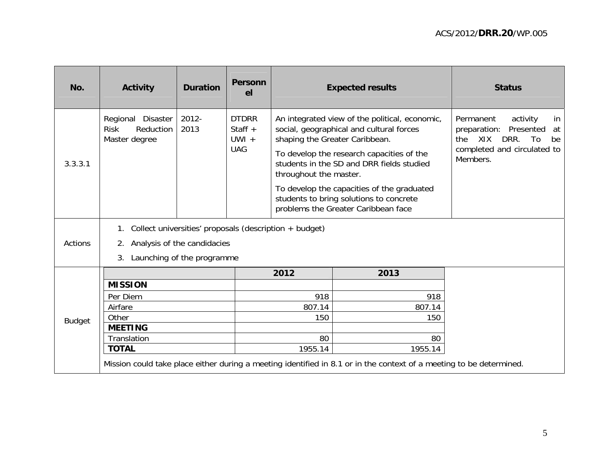| No.           | <b>Activity</b>                                                | <b>Duration</b>             | <b>Personn</b><br>el                               |                                                          | <b>Expected results</b>                                                                                                                                                                                                                                                                                              | <b>Status</b>                                                                                                                                      |
|---------------|----------------------------------------------------------------|-----------------------------|----------------------------------------------------|----------------------------------------------------------|----------------------------------------------------------------------------------------------------------------------------------------------------------------------------------------------------------------------------------------------------------------------------------------------------------------------|----------------------------------------------------------------------------------------------------------------------------------------------------|
| 3.3.3.1       | Regional Disaster<br>Reduction<br><b>Risk</b><br>Master degree | $2012 -$<br>2013            | <b>DTDRR</b><br>Staff $+$<br>$UWI +$<br><b>UAG</b> | shaping the Greater Caribbean.<br>throughout the master. | An integrated view of the political, economic,<br>social, geographical and cultural forces<br>To develop the research capacities of the<br>students in the SD and DRR fields studied<br>To develop the capacities of the graduated<br>students to bring solutions to concrete<br>problems the Greater Caribbean face | Permanent<br>activity<br>in<br>Presented<br>preparation:<br>at<br><b>XIX</b><br>DRR.<br>the<br>To<br>be<br>completed and circulated to<br>Members. |
| Actions       | $1_{\cdot}$<br>2.                                              | Analysis of the candidacies |                                                    | Collect universities' proposals (description + budget)   |                                                                                                                                                                                                                                                                                                                      |                                                                                                                                                    |
|               | 3.                                                             | Launching of the programme  |                                                    |                                                          |                                                                                                                                                                                                                                                                                                                      |                                                                                                                                                    |
|               |                                                                |                             |                                                    | 2012                                                     | 2013                                                                                                                                                                                                                                                                                                                 |                                                                                                                                                    |
|               | <b>MISSION</b>                                                 |                             |                                                    |                                                          |                                                                                                                                                                                                                                                                                                                      |                                                                                                                                                    |
|               | Per Diem<br>Airfare                                            |                             |                                                    | 918<br>807.14                                            | 918<br>807.14                                                                                                                                                                                                                                                                                                        |                                                                                                                                                    |
|               | Other                                                          |                             |                                                    | 150<br>150                                               |                                                                                                                                                                                                                                                                                                                      |                                                                                                                                                    |
| <b>Budget</b> | <b>MEETING</b>                                                 |                             |                                                    |                                                          |                                                                                                                                                                                                                                                                                                                      |                                                                                                                                                    |
|               | Translation                                                    |                             |                                                    | 80                                                       | 80                                                                                                                                                                                                                                                                                                                   |                                                                                                                                                    |
|               | <b>TOTAL</b>                                                   |                             |                                                    | 1955.14                                                  | 1955.14                                                                                                                                                                                                                                                                                                              |                                                                                                                                                    |
|               |                                                                |                             |                                                    |                                                          | Mission could take place either during a meeting identified in 8.1 or in the context of a meeting to be determined.                                                                                                                                                                                                  |                                                                                                                                                    |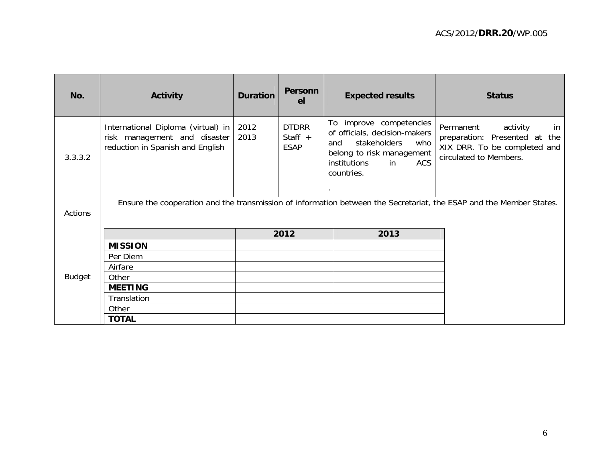| No.            | <b>Activity</b>                                                                                        | <b>Duration</b> | <b>Personn</b><br>el                     | <b>Expected results</b>                                                                                                                                                  | <b>Status</b>                                                                                                             |
|----------------|--------------------------------------------------------------------------------------------------------|-----------------|------------------------------------------|--------------------------------------------------------------------------------------------------------------------------------------------------------------------------|---------------------------------------------------------------------------------------------------------------------------|
| 3.3.3.2        | International Diploma (virtual) in<br>risk management and disaster<br>reduction in Spanish and English | 2012<br>2013    | <b>DTDRR</b><br>Staff $+$<br><b>ESAP</b> | improve competencies<br>To<br>of officials, decision-makers<br>stakeholders<br>who<br>and<br>belong to risk management<br>ACS<br>institutions<br><b>in</b><br>countries. | Permanent<br>activity<br>in<br>preparation: Presented at<br>the<br>XIX DRR. To be completed and<br>circulated to Members. |
| <b>Actions</b> |                                                                                                        |                 |                                          |                                                                                                                                                                          | Ensure the cooperation and the transmission of information between the Secretariat, the ESAP and the Member States.       |
|                |                                                                                                        |                 | 2012                                     | 2013                                                                                                                                                                     |                                                                                                                           |
|                | <b>MISSION</b>                                                                                         |                 |                                          |                                                                                                                                                                          |                                                                                                                           |
|                | Per Diem                                                                                               |                 |                                          |                                                                                                                                                                          |                                                                                                                           |
|                | Airfare                                                                                                |                 |                                          |                                                                                                                                                                          |                                                                                                                           |
| <b>Budget</b>  | Other                                                                                                  |                 |                                          |                                                                                                                                                                          |                                                                                                                           |
|                | <b>MEETING</b>                                                                                         |                 |                                          |                                                                                                                                                                          |                                                                                                                           |
|                | Translation                                                                                            |                 |                                          |                                                                                                                                                                          |                                                                                                                           |
|                | Other                                                                                                  |                 |                                          |                                                                                                                                                                          |                                                                                                                           |
|                | <b>TOTAL</b>                                                                                           |                 |                                          |                                                                                                                                                                          |                                                                                                                           |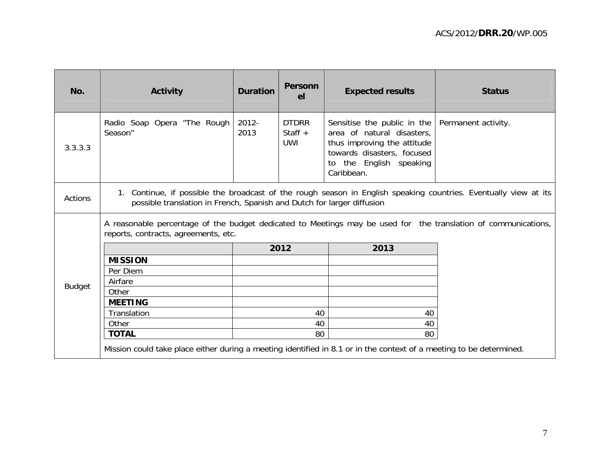| No.            | <b>Activity</b>                                                                                                                                                                            | <b>Duration</b> | <b>Personn</b><br>el                    | <b>Expected results</b>                                                                                                                                         | <b>Status</b>       |  |  |  |
|----------------|--------------------------------------------------------------------------------------------------------------------------------------------------------------------------------------------|-----------------|-----------------------------------------|-----------------------------------------------------------------------------------------------------------------------------------------------------------------|---------------------|--|--|--|
| 3.3.3.3        | Radio Soap Opera "The Rough<br>Season"                                                                                                                                                     | 2012-<br>2013   | <b>DTDRR</b><br>Staff $+$<br><b>UWI</b> | Sensitise the public in the<br>area of natural disasters,<br>thus improving the attitude<br>towards disasters, focused<br>to the English speaking<br>Caribbean. | Permanent activity. |  |  |  |
| <b>Actions</b> | 1. Continue, if possible the broadcast of the rough season in English speaking countries. Eventually view at its<br>possible translation in French, Spanish and Dutch for larger diffusion |                 |                                         |                                                                                                                                                                 |                     |  |  |  |
|                | A reasonable percentage of the budget dedicated to Meetings may be used for the translation of communications,<br>reports, contracts, agreements, etc.                                     |                 |                                         |                                                                                                                                                                 |                     |  |  |  |
|                |                                                                                                                                                                                            | 2012            |                                         | 2013                                                                                                                                                            |                     |  |  |  |
|                | <b>MISSION</b>                                                                                                                                                                             |                 |                                         |                                                                                                                                                                 |                     |  |  |  |
|                | Per Diem                                                                                                                                                                                   |                 |                                         |                                                                                                                                                                 |                     |  |  |  |
| <b>Budget</b>  | Airfare                                                                                                                                                                                    |                 |                                         |                                                                                                                                                                 |                     |  |  |  |
|                | Other                                                                                                                                                                                      |                 |                                         |                                                                                                                                                                 |                     |  |  |  |
|                | <b>MEETING</b>                                                                                                                                                                             |                 |                                         |                                                                                                                                                                 |                     |  |  |  |
|                | Translation                                                                                                                                                                                |                 | 40                                      | 40                                                                                                                                                              |                     |  |  |  |
|                | Other                                                                                                                                                                                      |                 | 40                                      | 40                                                                                                                                                              |                     |  |  |  |
|                | <b>TOTAL</b>                                                                                                                                                                               |                 | 80                                      | 80                                                                                                                                                              |                     |  |  |  |
|                | Mission could take place either during a meeting identified in 8.1 or in the context of a meeting to be determined.                                                                        |                 |                                         |                                                                                                                                                                 |                     |  |  |  |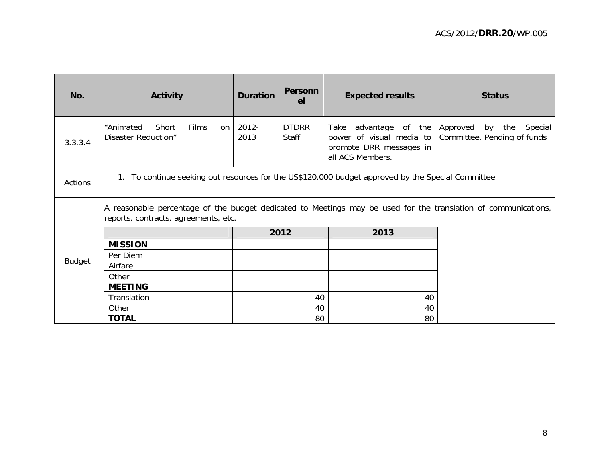| No.            | <b>Activity</b>                                                                                                                                        | <b>Duration</b> | <b>Personn</b><br>el  | <b>Expected results</b>                                                                             | <b>Status</b>                                                   |  |  |  |
|----------------|--------------------------------------------------------------------------------------------------------------------------------------------------------|-----------------|-----------------------|-----------------------------------------------------------------------------------------------------|-----------------------------------------------------------------|--|--|--|
| 3.3.3.4        | "Animated<br>Short<br>Films<br>on I<br>Disaster Reduction"                                                                                             | 2012-<br>2013   | <b>DTDRR</b><br>Staff | advantage of the<br>Take<br>power of visual media to<br>promote DRR messages in<br>all ACS Members. | Approved<br>the<br>by<br>Special<br>Committee. Pending of funds |  |  |  |
| <b>Actions</b> | 1. To continue seeking out resources for the US\$120,000 budget approved by the Special Committee                                                      |                 |                       |                                                                                                     |                                                                 |  |  |  |
|                | A reasonable percentage of the budget dedicated to Meetings may be used for the translation of communications,<br>reports, contracts, agreements, etc. |                 |                       |                                                                                                     |                                                                 |  |  |  |
|                |                                                                                                                                                        |                 | 2012                  | 2013                                                                                                |                                                                 |  |  |  |
|                | <b>MISSION</b>                                                                                                                                         |                 |                       |                                                                                                     |                                                                 |  |  |  |
|                | Per Diem                                                                                                                                               |                 |                       |                                                                                                     |                                                                 |  |  |  |
| <b>Budget</b>  | Airfare                                                                                                                                                |                 |                       |                                                                                                     |                                                                 |  |  |  |
|                | Other                                                                                                                                                  |                 |                       |                                                                                                     |                                                                 |  |  |  |
|                | <b>MEETING</b>                                                                                                                                         |                 |                       |                                                                                                     |                                                                 |  |  |  |
|                | Translation                                                                                                                                            |                 | 40                    | 40                                                                                                  |                                                                 |  |  |  |
|                | Other                                                                                                                                                  |                 | 40                    | 40                                                                                                  |                                                                 |  |  |  |
|                | <b>TOTAL</b>                                                                                                                                           |                 | 80                    | 80                                                                                                  |                                                                 |  |  |  |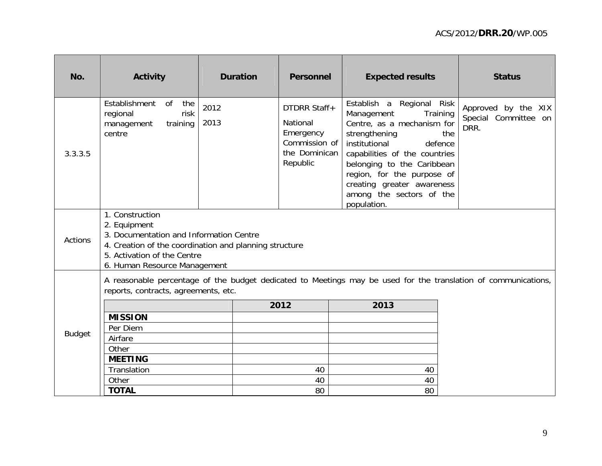| No.            | <b>Activity</b>                                                                                                                                                                                     | <b>Duration</b> | <b>Personnel</b>                                                                    | <b>Expected results</b>                                                                                                                                                                                                                                                                              | <b>Status</b>                                              |
|----------------|-----------------------------------------------------------------------------------------------------------------------------------------------------------------------------------------------------|-----------------|-------------------------------------------------------------------------------------|------------------------------------------------------------------------------------------------------------------------------------------------------------------------------------------------------------------------------------------------------------------------------------------------------|------------------------------------------------------------|
| 3.3.3.5        | Establishment<br><b>of</b><br>the<br>risk<br>regional<br>training<br>management<br>centre                                                                                                           | 2012<br>2013    | DTDRR Staff+<br>National<br>Emergency<br>Commission of<br>the Dominican<br>Republic | Establish a Regional Risk<br>Training<br>Management<br>Centre, as a mechanism for<br>strengthening<br>institutional<br>defence<br>capabilities of the countries<br>belonging to the Caribbean<br>region, for the purpose of<br>creating greater awareness<br>among the sectors of the<br>population. | Approved by the XIX<br>Special Committee on<br>DRR.<br>the |
| <b>Actions</b> | 1. Construction<br>2. Equipment<br>3. Documentation and Information Centre<br>4. Creation of the coordination and planning structure<br>5. Activation of the Centre<br>6. Human Resource Management |                 |                                                                                     |                                                                                                                                                                                                                                                                                                      |                                                            |
|                | reports, contracts, agreements, etc.                                                                                                                                                                |                 |                                                                                     | A reasonable percentage of the budget dedicated to Meetings may be used for the translation of communications,                                                                                                                                                                                       |                                                            |
|                |                                                                                                                                                                                                     |                 | 2012                                                                                | 2013                                                                                                                                                                                                                                                                                                 |                                                            |
|                | <b>MISSION</b>                                                                                                                                                                                      |                 |                                                                                     |                                                                                                                                                                                                                                                                                                      |                                                            |
| <b>Budget</b>  | Per Diem                                                                                                                                                                                            |                 |                                                                                     |                                                                                                                                                                                                                                                                                                      |                                                            |
|                | Airfare                                                                                                                                                                                             |                 |                                                                                     |                                                                                                                                                                                                                                                                                                      |                                                            |
|                | Other<br><b>MEETING</b>                                                                                                                                                                             |                 |                                                                                     |                                                                                                                                                                                                                                                                                                      |                                                            |
|                | Translation                                                                                                                                                                                         |                 | 40                                                                                  | 40                                                                                                                                                                                                                                                                                                   |                                                            |
|                | Other                                                                                                                                                                                               |                 | 40                                                                                  | 40                                                                                                                                                                                                                                                                                                   |                                                            |
|                | <b>TOTAL</b>                                                                                                                                                                                        |                 | 80                                                                                  | 80                                                                                                                                                                                                                                                                                                   |                                                            |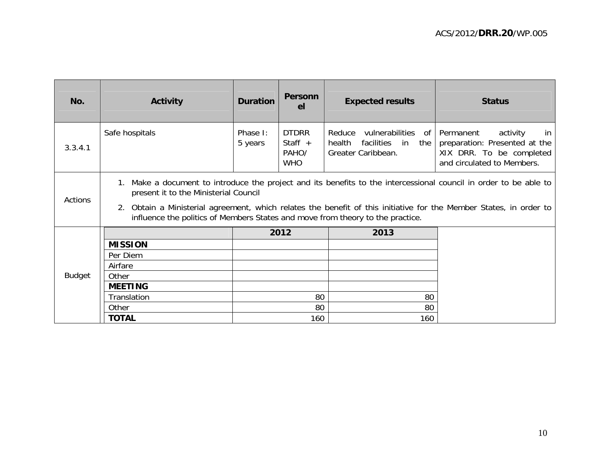| No.           | <b>Activity</b>                                                                                                                                                                                                                                                                                                                                                    | <b>Duration</b>     | <b>Personn</b><br>el                             | <b>Expected results</b>                                                                               | <b>Status</b>                                                                                             |  |  |  |
|---------------|--------------------------------------------------------------------------------------------------------------------------------------------------------------------------------------------------------------------------------------------------------------------------------------------------------------------------------------------------------------------|---------------------|--------------------------------------------------|-------------------------------------------------------------------------------------------------------|-----------------------------------------------------------------------------------------------------------|--|--|--|
| 3.3.4.1       | Safe hospitals                                                                                                                                                                                                                                                                                                                                                     | Phase I:<br>5 years | <b>DTDRR</b><br>Staff $+$<br>PAHO/<br><b>WHO</b> | vulnerabilities of Permanent<br>Reduce<br>facilities<br>health<br>in i<br>the I<br>Greater Caribbean. | activity<br>in<br>preparation: Presented at the<br>XIX DRR. To be completed<br>and circulated to Members. |  |  |  |
| Actions       | 1. Make a document to introduce the project and its benefits to the intercessional council in order to be able to<br>present it to the Ministerial Council<br>2. Obtain a Ministerial agreement, which relates the benefit of this initiative for the Member States, in order to<br>influence the politics of Members States and move from theory to the practice. |                     |                                                  |                                                                                                       |                                                                                                           |  |  |  |
|               |                                                                                                                                                                                                                                                                                                                                                                    |                     | 2012                                             | 2013                                                                                                  |                                                                                                           |  |  |  |
|               | <b>MISSION</b>                                                                                                                                                                                                                                                                                                                                                     |                     |                                                  |                                                                                                       |                                                                                                           |  |  |  |
|               | Per Diem                                                                                                                                                                                                                                                                                                                                                           |                     |                                                  |                                                                                                       |                                                                                                           |  |  |  |
|               | Airfare                                                                                                                                                                                                                                                                                                                                                            |                     |                                                  |                                                                                                       |                                                                                                           |  |  |  |
| <b>Budget</b> | Other                                                                                                                                                                                                                                                                                                                                                              |                     |                                                  |                                                                                                       |                                                                                                           |  |  |  |
|               | <b>MEETING</b>                                                                                                                                                                                                                                                                                                                                                     |                     |                                                  |                                                                                                       |                                                                                                           |  |  |  |
|               | Translation                                                                                                                                                                                                                                                                                                                                                        |                     | 80                                               | 80                                                                                                    |                                                                                                           |  |  |  |
|               | Other                                                                                                                                                                                                                                                                                                                                                              |                     | 80                                               | 80                                                                                                    |                                                                                                           |  |  |  |
|               | <b>TOTAL</b>                                                                                                                                                                                                                                                                                                                                                       |                     | 160                                              | 160                                                                                                   |                                                                                                           |  |  |  |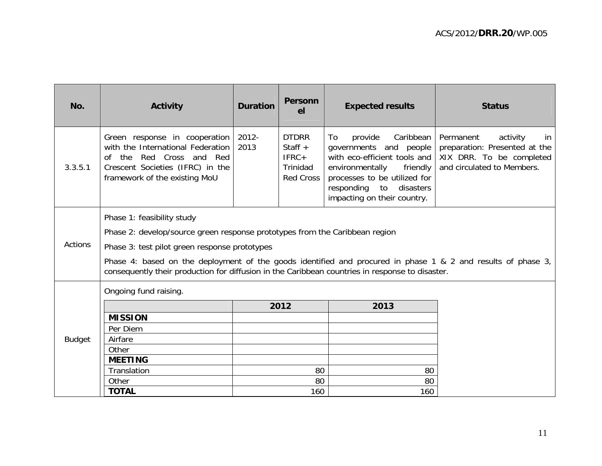| No.            | <b>Activity</b>                                                                                                                                                                                                 | <b>Duration</b> | <b>Personn</b><br>el                                                 | <b>Expected results</b>                                                                                                                                                                                             | <b>Status</b>                                                                                                          |  |  |  |
|----------------|-----------------------------------------------------------------------------------------------------------------------------------------------------------------------------------------------------------------|-----------------|----------------------------------------------------------------------|---------------------------------------------------------------------------------------------------------------------------------------------------------------------------------------------------------------------|------------------------------------------------------------------------------------------------------------------------|--|--|--|
| 3.3.5.1        | Green response in cooperation<br>with the International Federation<br>of the Red Cross and Red<br>Crescent Societies (IFRC) in the<br>framework of the existing MoU                                             | 2012-<br>2013   | <b>DTDRR</b><br>Staff $+$<br>$IFRC+$<br>Trinidad<br><b>Red Cross</b> | Caribbean<br>provide<br>To<br>governments and people<br>with eco-efficient tools and<br>environmentally<br>friendly<br>processes to be utilized for<br>responding<br>to<br>disasters<br>impacting on their country. | Permanent<br>activity<br>in<br>preparation: Presented at the<br>XIX DRR. To be completed<br>and circulated to Members. |  |  |  |
|                | Phase 1: feasibility study                                                                                                                                                                                      |                 |                                                                      |                                                                                                                                                                                                                     |                                                                                                                        |  |  |  |
|                | Phase 2: develop/source green response prototypes from the Caribbean region                                                                                                                                     |                 |                                                                      |                                                                                                                                                                                                                     |                                                                                                                        |  |  |  |
| <b>Actions</b> | Phase 3: test pilot green response prototypes                                                                                                                                                                   |                 |                                                                      |                                                                                                                                                                                                                     |                                                                                                                        |  |  |  |
|                | Phase 4: based on the deployment of the goods identified and procured in phase 1 & 2 and results of phase 3,<br>consequently their production for diffusion in the Caribbean countries in response to disaster. |                 |                                                                      |                                                                                                                                                                                                                     |                                                                                                                        |  |  |  |
|                | Ongoing fund raising.                                                                                                                                                                                           |                 |                                                                      |                                                                                                                                                                                                                     |                                                                                                                        |  |  |  |
|                |                                                                                                                                                                                                                 |                 | 2012                                                                 | 2013                                                                                                                                                                                                                |                                                                                                                        |  |  |  |
|                | <b>MISSION</b>                                                                                                                                                                                                  |                 |                                                                      |                                                                                                                                                                                                                     |                                                                                                                        |  |  |  |
|                | Per Diem                                                                                                                                                                                                        |                 |                                                                      |                                                                                                                                                                                                                     |                                                                                                                        |  |  |  |
| <b>Budget</b>  | Airfare                                                                                                                                                                                                         |                 |                                                                      |                                                                                                                                                                                                                     |                                                                                                                        |  |  |  |
|                | Other                                                                                                                                                                                                           |                 |                                                                      |                                                                                                                                                                                                                     |                                                                                                                        |  |  |  |
|                | <b>MEETING</b>                                                                                                                                                                                                  |                 |                                                                      |                                                                                                                                                                                                                     |                                                                                                                        |  |  |  |
|                | Translation<br>Other                                                                                                                                                                                            |                 | 80<br>80                                                             | 80<br>80                                                                                                                                                                                                            |                                                                                                                        |  |  |  |
|                | <b>TOTAL</b>                                                                                                                                                                                                    |                 | 160                                                                  | 160                                                                                                                                                                                                                 |                                                                                                                        |  |  |  |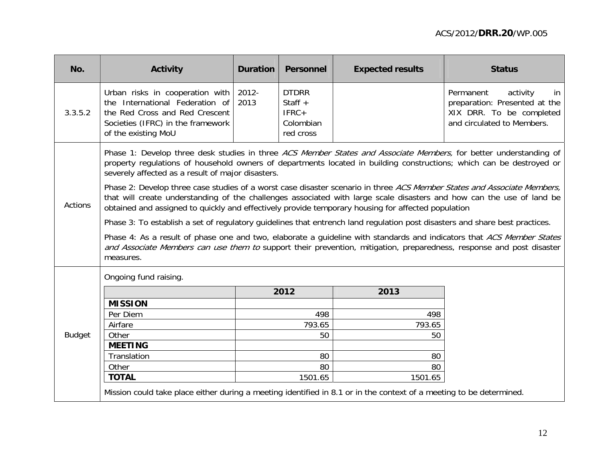| No.            | Activity                                                                                                                                                                                                                                                                                                                                               | <b>Duration</b> | <b>Personnel</b>                                               | <b>Expected results</b> | <b>Status</b>                                                                                                          |  |  |  |  |
|----------------|--------------------------------------------------------------------------------------------------------------------------------------------------------------------------------------------------------------------------------------------------------------------------------------------------------------------------------------------------------|-----------------|----------------------------------------------------------------|-------------------------|------------------------------------------------------------------------------------------------------------------------|--|--|--|--|
| 3.3.5.2        | Urban risks in cooperation with<br>the International Federation of<br>the Red Cross and Red Crescent<br>Societies (IFRC) in the framework<br>of the existing MoU                                                                                                                                                                                       | 2012-<br>2013   | <b>DTDRR</b><br>Staff $+$<br>$IFRC+$<br>Colombian<br>red cross |                         | activity<br>Permanent<br>in<br>preparation: Presented at the<br>XIX DRR. To be completed<br>and circulated to Members. |  |  |  |  |
|                | Phase 1: Develop three desk studies in three ACS Member States and Associate Members, for better understanding of<br>property regulations of household owners of departments located in building constructions; which can be destroyed or<br>severely affected as a result of major disasters.                                                         |                 |                                                                |                         |                                                                                                                        |  |  |  |  |
| <b>Actions</b> | Phase 2: Develop three case studies of a worst case disaster scenario in three ACS Member States and Associate Members,<br>that will create understanding of the challenges associated with large scale disasters and how can the use of land be<br>obtained and assigned to quickly and effectively provide temporary housing for affected population |                 |                                                                |                         |                                                                                                                        |  |  |  |  |
|                | Phase 3: To establish a set of regulatory guidelines that entrench land regulation post disasters and share best practices.                                                                                                                                                                                                                            |                 |                                                                |                         |                                                                                                                        |  |  |  |  |
|                | Phase 4: As a result of phase one and two, elaborate a guideline with standards and indicators that ACS Member States<br>and Associate Members can use them to support their prevention, mitigation, preparedness, response and post disaster<br>measures.                                                                                             |                 |                                                                |                         |                                                                                                                        |  |  |  |  |
|                | Ongoing fund raising.                                                                                                                                                                                                                                                                                                                                  |                 |                                                                |                         |                                                                                                                        |  |  |  |  |
|                |                                                                                                                                                                                                                                                                                                                                                        |                 | 2012                                                           | 2013                    |                                                                                                                        |  |  |  |  |
|                | <b>MISSION</b>                                                                                                                                                                                                                                                                                                                                         |                 |                                                                |                         |                                                                                                                        |  |  |  |  |
|                | Per Diem                                                                                                                                                                                                                                                                                                                                               |                 | 498                                                            | 498                     |                                                                                                                        |  |  |  |  |
|                | Airfare                                                                                                                                                                                                                                                                                                                                                |                 | 793.65                                                         | 793.65                  |                                                                                                                        |  |  |  |  |
| <b>Budget</b>  | Other                                                                                                                                                                                                                                                                                                                                                  |                 | 50                                                             | 50                      |                                                                                                                        |  |  |  |  |
|                | <b>MEETING</b>                                                                                                                                                                                                                                                                                                                                         |                 |                                                                |                         |                                                                                                                        |  |  |  |  |
|                | Translation<br>Other                                                                                                                                                                                                                                                                                                                                   |                 | 80<br>80                                                       | 80<br>80                |                                                                                                                        |  |  |  |  |
|                | <b>TOTAL</b>                                                                                                                                                                                                                                                                                                                                           |                 | 1501.65                                                        | 1501.65                 |                                                                                                                        |  |  |  |  |
|                |                                                                                                                                                                                                                                                                                                                                                        |                 |                                                                |                         |                                                                                                                        |  |  |  |  |
|                | Mission could take place either during a meeting identified in 8.1 or in the context of a meeting to be determined.                                                                                                                                                                                                                                    |                 |                                                                |                         |                                                                                                                        |  |  |  |  |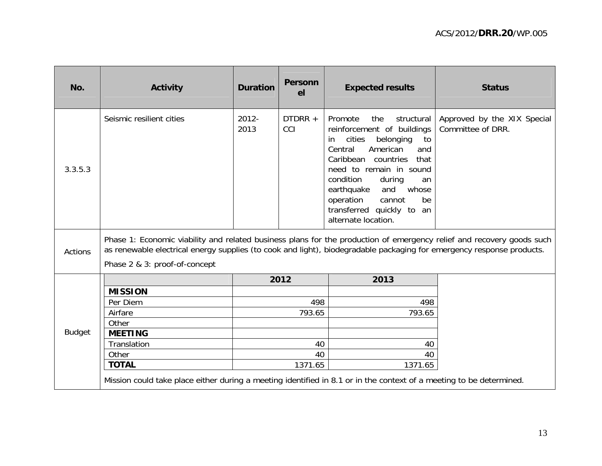| No.           | <b>Activity</b>                                                                                                                                                                                                                                | <b>Duration</b>  | <b>Personn</b><br>el | <b>Expected results</b>                                                                                                                                                                                                                                                                                                               | <b>Status</b>                                    |  |  |  |  |
|---------------|------------------------------------------------------------------------------------------------------------------------------------------------------------------------------------------------------------------------------------------------|------------------|----------------------|---------------------------------------------------------------------------------------------------------------------------------------------------------------------------------------------------------------------------------------------------------------------------------------------------------------------------------------|--------------------------------------------------|--|--|--|--|
| 3.3.5.3       | Seismic resilient cities                                                                                                                                                                                                                       | $2012 -$<br>2013 | DTDRR +<br>CCI       | Promote<br>the<br>structural<br>reinforcement of buildings<br>cities<br>belonging<br>to<br>in.<br>Central<br>American<br>and<br>Caribbean countries<br>that<br>need to remain in sound<br>condition<br>during<br>an<br>and<br>earthquake<br>whose<br>operation<br>be<br>cannot<br>transferred quickly to<br>an<br>alternate location. | Approved by the XIX Special<br>Committee of DRR. |  |  |  |  |
| Actions       | Phase 1: Economic viability and related business plans for the production of emergency relief and recovery goods such<br>as renewable electrical energy supplies (to cook and light), biodegradable packaging for emergency response products. |                  |                      |                                                                                                                                                                                                                                                                                                                                       |                                                  |  |  |  |  |
|               | Phase 2 & 3: proof-of-concept                                                                                                                                                                                                                  |                  |                      |                                                                                                                                                                                                                                                                                                                                       |                                                  |  |  |  |  |
|               |                                                                                                                                                                                                                                                |                  | 2012                 | 2013                                                                                                                                                                                                                                                                                                                                  |                                                  |  |  |  |  |
|               | <b>MISSION</b>                                                                                                                                                                                                                                 |                  |                      |                                                                                                                                                                                                                                                                                                                                       |                                                  |  |  |  |  |
|               | Per Diem                                                                                                                                                                                                                                       |                  | 498                  | 498                                                                                                                                                                                                                                                                                                                                   |                                                  |  |  |  |  |
|               | Airfare                                                                                                                                                                                                                                        |                  | 793.65               | 793.65                                                                                                                                                                                                                                                                                                                                |                                                  |  |  |  |  |
|               | Other                                                                                                                                                                                                                                          |                  |                      |                                                                                                                                                                                                                                                                                                                                       |                                                  |  |  |  |  |
| <b>Budget</b> | <b>MEETING</b>                                                                                                                                                                                                                                 |                  |                      |                                                                                                                                                                                                                                                                                                                                       |                                                  |  |  |  |  |
|               | Translation                                                                                                                                                                                                                                    |                  | 40                   | 40                                                                                                                                                                                                                                                                                                                                    |                                                  |  |  |  |  |
|               | Other                                                                                                                                                                                                                                          |                  | 40                   | 40                                                                                                                                                                                                                                                                                                                                    |                                                  |  |  |  |  |
|               | <b>TOTAL</b>                                                                                                                                                                                                                                   |                  | 1371.65              | 1371.65                                                                                                                                                                                                                                                                                                                               |                                                  |  |  |  |  |
|               | Mission could take place either during a meeting identified in 8.1 or in the context of a meeting to be determined.                                                                                                                            |                  |                      |                                                                                                                                                                                                                                                                                                                                       |                                                  |  |  |  |  |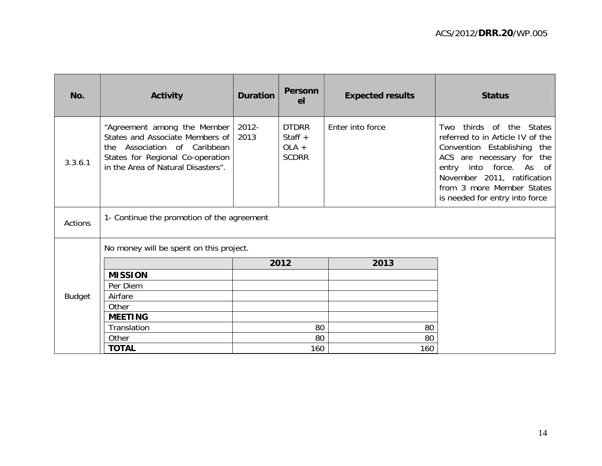| No.           | <b>Activity</b>                                                                                                                                                             | <b>Duration</b> | <b>Personn</b><br>el                                 | <b>Expected results</b> | <b>Status</b>                                                                                                                                                                                                                                                 |  |  |  |
|---------------|-----------------------------------------------------------------------------------------------------------------------------------------------------------------------------|-----------------|------------------------------------------------------|-------------------------|---------------------------------------------------------------------------------------------------------------------------------------------------------------------------------------------------------------------------------------------------------------|--|--|--|
| 3.3.6.1       | "Agreement among the Member<br>States and Associate Members of<br>Association of Caribbean<br>the<br>States for Regional Co-operation<br>in the Area of Natural Disasters". | 2012-<br>2013   | <b>DTDRR</b><br>Staff $+$<br>$OLA +$<br><b>SCDRR</b> | Enter into force        | thirds<br>of the States<br>Two<br>referred to in Article IV of the<br>Convention Establishing the<br>ACS are necessary for the<br>entry into force.<br>As<br>of<br>November 2011, ratification<br>from 3 more Member States<br>is needed for entry into force |  |  |  |
| Actions       | 1- Continue the promotion of the agreement                                                                                                                                  |                 |                                                      |                         |                                                                                                                                                                                                                                                               |  |  |  |
|               | No money will be spent on this project.                                                                                                                                     |                 |                                                      |                         |                                                                                                                                                                                                                                                               |  |  |  |
|               |                                                                                                                                                                             |                 | 2012                                                 | 2013                    |                                                                                                                                                                                                                                                               |  |  |  |
| <b>Budget</b> | <b>MISSION</b>                                                                                                                                                              |                 |                                                      |                         |                                                                                                                                                                                                                                                               |  |  |  |
|               | Per Diem                                                                                                                                                                    |                 |                                                      |                         |                                                                                                                                                                                                                                                               |  |  |  |
|               | Airfare                                                                                                                                                                     |                 |                                                      |                         |                                                                                                                                                                                                                                                               |  |  |  |
|               | Other                                                                                                                                                                       |                 |                                                      |                         |                                                                                                                                                                                                                                                               |  |  |  |
|               | <b>MEETING</b>                                                                                                                                                              |                 |                                                      |                         |                                                                                                                                                                                                                                                               |  |  |  |
|               | Translation                                                                                                                                                                 |                 | 80                                                   | 80                      |                                                                                                                                                                                                                                                               |  |  |  |
|               | Other                                                                                                                                                                       |                 | 80                                                   | 80                      |                                                                                                                                                                                                                                                               |  |  |  |
|               | <b>TOTAL</b>                                                                                                                                                                |                 | 160                                                  | 160                     |                                                                                                                                                                                                                                                               |  |  |  |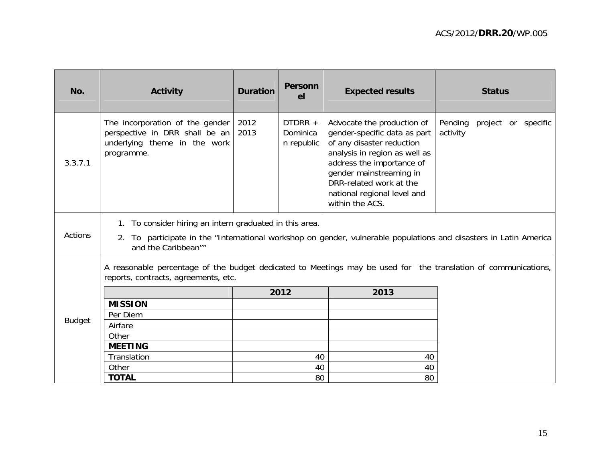| No.           | <b>Activity</b>                                                                                                                                                                                        | <b>Duration</b> | <b>Personn</b><br>e <sub>l</sub>  | <b>Expected results</b>                                                                                                                                                                                                                                       | <b>Status</b>                              |  |  |  |
|---------------|--------------------------------------------------------------------------------------------------------------------------------------------------------------------------------------------------------|-----------------|-----------------------------------|---------------------------------------------------------------------------------------------------------------------------------------------------------------------------------------------------------------------------------------------------------------|--------------------------------------------|--|--|--|
| 3.3.7.1       | The incorporation of the gender<br>perspective in DRR shall be an<br>underlying theme in the work<br>programme.                                                                                        | 2012<br>2013    | DTDRR +<br>Dominica<br>n republic | Advocate the production of<br>gender-specific data as part<br>of any disaster reduction<br>analysis in region as well as<br>address the importance of<br>gender mainstreaming in<br>DRR-related work at the<br>national regional level and<br>within the ACS. | Pending<br>project or specific<br>activity |  |  |  |
| Actions       | 1. To consider hiring an intern graduated in this area.<br>To participate in the "International workshop on gender, vulnerable populations and disasters in Latin America<br>2.<br>and the Caribbean"" |                 |                                   |                                                                                                                                                                                                                                                               |                                            |  |  |  |
|               | A reasonable percentage of the budget dedicated to Meetings may be used for the translation of communications,<br>reports, contracts, agreements, etc.                                                 |                 |                                   |                                                                                                                                                                                                                                                               |                                            |  |  |  |
|               |                                                                                                                                                                                                        |                 | 2012                              | 2013                                                                                                                                                                                                                                                          |                                            |  |  |  |
|               | <b>MISSION</b>                                                                                                                                                                                         |                 |                                   |                                                                                                                                                                                                                                                               |                                            |  |  |  |
| <b>Budget</b> | Per Diem                                                                                                                                                                                               |                 |                                   |                                                                                                                                                                                                                                                               |                                            |  |  |  |
|               | Airfare                                                                                                                                                                                                |                 |                                   |                                                                                                                                                                                                                                                               |                                            |  |  |  |
|               | Other                                                                                                                                                                                                  |                 |                                   |                                                                                                                                                                                                                                                               |                                            |  |  |  |
|               | <b>MEETING</b>                                                                                                                                                                                         |                 |                                   |                                                                                                                                                                                                                                                               |                                            |  |  |  |
|               | Translation<br>Other                                                                                                                                                                                   | 40<br>40        |                                   | 40<br>40                                                                                                                                                                                                                                                      |                                            |  |  |  |
|               | <b>TOTAL</b>                                                                                                                                                                                           | 80              |                                   | 80                                                                                                                                                                                                                                                            |                                            |  |  |  |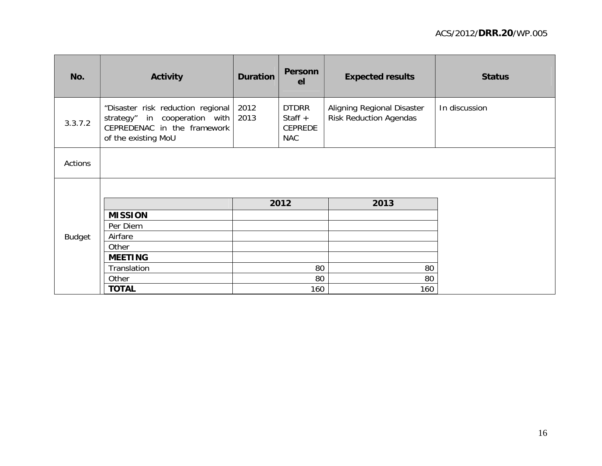| No.           | <b>Activity</b>                                                                                                                       | <b>Duration</b> | <b>Personn</b><br><b>el</b>                               | <b>Expected results</b>                                     | <b>Status</b> |
|---------------|---------------------------------------------------------------------------------------------------------------------------------------|-----------------|-----------------------------------------------------------|-------------------------------------------------------------|---------------|
| 3.3.7.2       | "Disaster risk reduction regional<br>strategy" in cooperation with $\vert$ 2013<br>CEPREDENAC in the framework<br>of the existing MoU | 2012            | <b>DTDRR</b><br>Staff $+$<br><b>CEPREDE</b><br><b>NAC</b> | Aligning Regional Disaster<br><b>Risk Reduction Agendas</b> | In discussion |
| Actions       |                                                                                                                                       |                 |                                                           |                                                             |               |
|               |                                                                                                                                       |                 |                                                           |                                                             |               |
|               |                                                                                                                                       |                 | 2012                                                      | 2013                                                        |               |
|               | <b>MISSION</b>                                                                                                                        |                 |                                                           |                                                             |               |
|               | Per Diem                                                                                                                              |                 |                                                           |                                                             |               |
| <b>Budget</b> | Airfare                                                                                                                               |                 |                                                           |                                                             |               |
|               | Other                                                                                                                                 |                 |                                                           |                                                             |               |
|               | <b>MEETING</b>                                                                                                                        |                 |                                                           |                                                             |               |
|               | Translation                                                                                                                           | 80              |                                                           | 80                                                          |               |
|               | Other                                                                                                                                 | 80              |                                                           | 80                                                          |               |
|               | <b>TOTAL</b>                                                                                                                          |                 | 160                                                       | 160                                                         |               |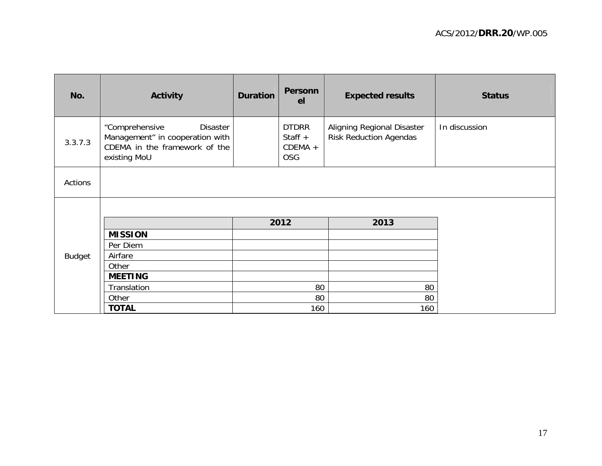| No.           | <b>Activity</b>                                                                                                | <b>Duration</b> | <b>Personn</b><br>el                                 | <b>Expected results</b>                                     | <b>Status</b> |
|---------------|----------------------------------------------------------------------------------------------------------------|-----------------|------------------------------------------------------|-------------------------------------------------------------|---------------|
| 3.3.7.3       | "Comprehensive<br>Disaster<br>Management" in cooperation with<br>CDEMA in the framework of the<br>existing MoU |                 | <b>DTDRR</b><br>Staff $+$<br>$CDEMA +$<br><b>OSG</b> | Aligning Regional Disaster<br><b>Risk Reduction Agendas</b> | In discussion |
| Actions       |                                                                                                                |                 |                                                      |                                                             |               |
|               |                                                                                                                |                 |                                                      |                                                             |               |
|               |                                                                                                                | 2012            |                                                      | 2013                                                        |               |
|               | <b>MISSION</b>                                                                                                 |                 |                                                      |                                                             |               |
|               | Per Diem                                                                                                       |                 |                                                      |                                                             |               |
| <b>Budget</b> | Airfare                                                                                                        |                 |                                                      |                                                             |               |
|               | Other                                                                                                          |                 |                                                      |                                                             |               |
|               | <b>MEETING</b>                                                                                                 |                 |                                                      |                                                             |               |
|               | Translation                                                                                                    |                 | 80                                                   | 80                                                          |               |
|               | Other                                                                                                          |                 | 80                                                   | 80                                                          |               |
|               | <b>TOTAL</b>                                                                                                   |                 | 160                                                  | 160                                                         |               |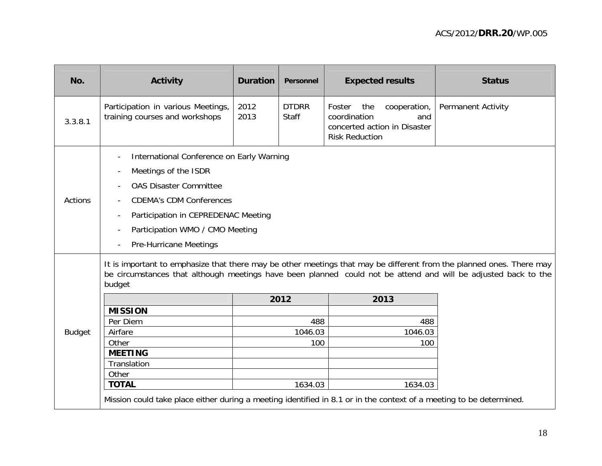| No.           | <b>Activity</b>                                                                                                                                                                                                                                  | <b>Duration</b> | Personnel                    | <b>Expected results</b>                                                                |                     | <b>Status</b>             |  |  |
|---------------|--------------------------------------------------------------------------------------------------------------------------------------------------------------------------------------------------------------------------------------------------|-----------------|------------------------------|----------------------------------------------------------------------------------------|---------------------|---------------------------|--|--|
| 3.3.8.1       | Participation in various Meetings,<br>training courses and workshops                                                                                                                                                                             | 2012<br>2013    | <b>DTDRR</b><br><b>Staff</b> | Foster<br>the<br>coordination<br>concerted action in Disaster<br><b>Risk Reduction</b> | cooperation,<br>and | <b>Permanent Activity</b> |  |  |
| Actions       | International Conference on Early Warning<br>Meetings of the ISDR<br><b>OAS Disaster Committee</b><br><b>CDEMA's CDM Conferences</b><br>Participation in CEPREDENAC Meeting<br>Participation WMO / CMO Meeting<br><b>Pre-Hurricane Meetings</b>  |                 |                              |                                                                                        |                     |                           |  |  |
|               | It is important to emphasize that there may be other meetings that may be different from the planned ones. There may<br>be circumstances that although meetings have been planned could not be attend and will be adjusted back to the<br>budget |                 |                              |                                                                                        |                     |                           |  |  |
|               |                                                                                                                                                                                                                                                  |                 | 2012                         |                                                                                        | 2013                |                           |  |  |
|               | <b>MISSION</b>                                                                                                                                                                                                                                   |                 |                              |                                                                                        |                     |                           |  |  |
|               | Per Diem                                                                                                                                                                                                                                         |                 | 488                          |                                                                                        | 488                 |                           |  |  |
| <b>Budget</b> | Airfare                                                                                                                                                                                                                                          |                 | 1046.03                      |                                                                                        | 1046.03             |                           |  |  |
|               | Other                                                                                                                                                                                                                                            |                 | 100                          |                                                                                        | 100                 |                           |  |  |
|               | <b>MEETING</b><br>Translation                                                                                                                                                                                                                    |                 |                              |                                                                                        |                     |                           |  |  |
|               | Other                                                                                                                                                                                                                                            |                 |                              |                                                                                        |                     |                           |  |  |
|               | <b>TOTAL</b>                                                                                                                                                                                                                                     |                 | 1634.03                      |                                                                                        | 1634.03             |                           |  |  |
|               | Mission could take place either during a meeting identified in 8.1 or in the context of a meeting to be determined.                                                                                                                              |                 |                              |                                                                                        |                     |                           |  |  |